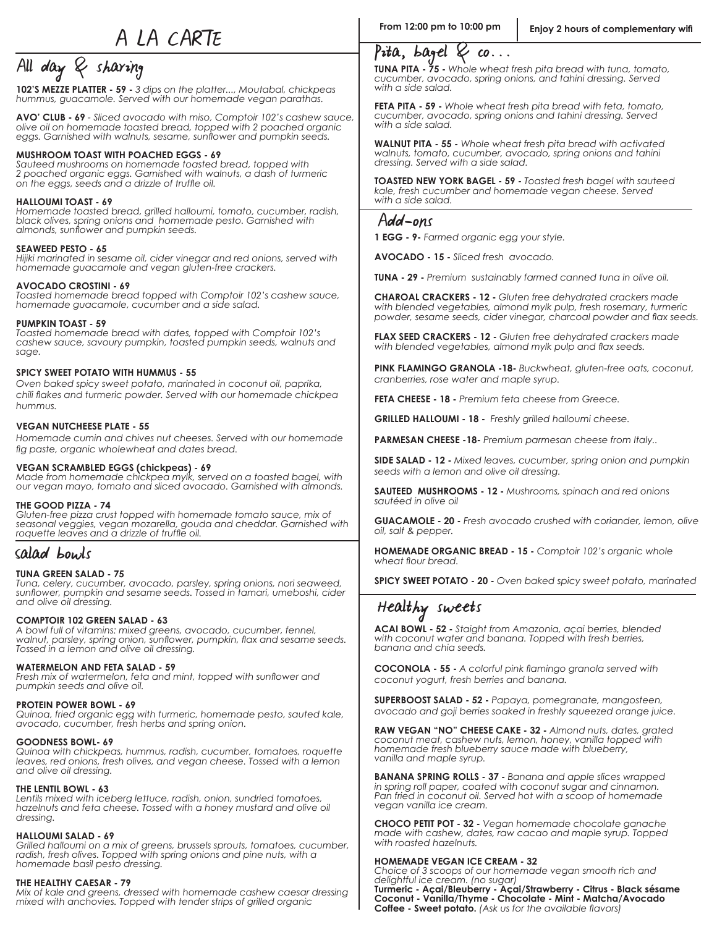A LA CARTE

# $\overline{\text{All day } 8 \text{ sharing}}$  sharing  $\overline{\text{Pita, bagel 8 co...}}$

**102'S MEZZE PLATTER - 59 -** *3 dips on the platter..., Moutabal, chickpeas hummus, guacamole. Served with our homemade vegan parathas.* 

**AVO' CLUB - 69** *- Sliced avocado with miso, Comptoir 102's cashew sauce, olive oil on homemade toasted bread, topped with 2 poached organic*  eggs. Garnished with walnuts, sesame, sunflower and pumpkin seeds.

#### **MUSHROOM TOAST WITH POACHED EGGS - 69**

*Sauteed mushrooms on homemade toasted bread, topped with 2 poached organic eggs. Garnished with walnuts, a dash of turmeric*  on the eggs, seeds and a drizzle of truffle oil.

#### **HALLOUMI TOAST - 69**

*Homemade toasted bread, grilled halloumi, tomato, cucumber, radish, black olives, spring onions and homemade pesto. Garnished with*  almonds, sunflower and pumpkin seeds.

#### **SEAWEED PESTO - 65**

*Hijiki marinated in sesame oil, cider vinegar and red onions, served with homemade guacamole and vegan gluten-free crackers.*

#### **AVOCADO CROSTINI - 69**

*Toasted homemade bread topped with Comptoir 102's cashew sauce, homemade guacamole, cucumber and a side salad.*

#### **PUMPKIN TOAST - 59**

*Toasted homemade bread with dates, topped with Comptoir 102's cashew sauce, savoury pumpkin, toasted pumpkin seeds, walnuts and sage.*

#### **SPICY SWEET POTATO WITH HUMMUS - 55**

*Oven baked spicy sweet potato, marinated in coconut oil, paprika,*  chili flakes and turmeric powder. Served with our homemade chickpea *hummus.*

#### **VEGAN NUTCHEESE PLATE - 55**

*Homemade cumin and chives nut cheeses. Served with our homemade*  fig paste, organic wholewheat and dates bread.

#### **VEGAN SCRAMBLED EGGS (chickpeas) - 69**

*Made from homemade chickpea mylk, served on a toasted bagel, with our vegan mayo, tomato and sliced avocado. Garnished with almonds.*

#### **THE GOOD PIZZA - 74**

Gluten-free pizza crust topped with homemade tomato sauce, mix of *seasonal veggies, vegan mozarella, gouda and cheddar. Garnished with*  roquette leaves and a drizzle of truffle oil.

#### Salad bowls

#### **TUNA GREEN SALAD - 75**

*Tuna, celery, cucumber, avocado, parsley, spring onions, nori seaweed,*  sunflower, pumpkin and sesame seeds. Tossed in famari, umeboshi, cider *and olive oil dressing.*

#### **COMPTOIR 102 GREEN SALAD - 63**

*A bowl full of vitamins: mixed greens, avocado, cucumber, fennel,*  walnut, parsley, spring onion, sunflower, pumpkin, flax and sesame seeds. *Tossed in a lemon and olive oil dressing.*

#### **WATERMELON AND FETA SALAD - 59**

Fresh mix of watermelon, feta and mint, topped with sunflower and *pumpkin seeds and olive oil.*

#### **PROTEIN POWER BOWL - 69**

*Quinoa, fried organic egg with turmeric, homemade pesto, sauted kale, avocado, cucumber, fresh herbs and spring onion.*

#### **GOODNESS BOWL- 69**

*Quinoa with chickpeas, hummus, radish, cucumber, tomatoes, roquette leaves, red onions, fresh olives, and vegan cheese. Tossed with a lemon and olive oil dressing.* 

#### **THE LENTIL BOWL - 63**

*Lentils mixed with iceberg lettuce, radish, onion, sundried tomatoes, hazelnuts and feta cheese. Tossed with a honey mustard and olive oil dressing.*

#### **HALLOUMI SALAD - 69**

*Grilled halloumi on a mix of greens, brussels sprouts, tomatoes, cucumber, radish, fresh olives. Topped with spring onions and pine nuts, with a homemade basil pesto dressing.*

#### **THE HEALTHY CAESAR - 79**

*Mix of kale and greens, dressed with homemade cashew caesar dressing mixed with anchovies. Topped with tender strips of grilled organic* 

**TUNA PITA - 75 -** *Whole wheat fresh pita bread with tuna, tomato, cucumber, avocado, spring onions, and tahini dressing. Served with a side salad.*

**FETA PITA - 59 -** *Whole wheat fresh pita bread with feta, tomato, cucumber, avocado, spring onions and tahini dressing. Served with a side salad.*

**WALNUT PITA - 55 -** *Whole wheat fresh pita bread with activated walnuts, tomato, cucumber, avocado, spring onions and tahini dressing. Served with a side salad.*

**TOASTED NEW YORK BAGEL - 59 -** *Toasted fresh bagel with sauteed kale, fresh cucumber and homemade vegan cheese. Served with a side salad.*

#### Add-ons

**1 EGG - 9-** *Farmed organic egg your style.*

**AVOCADO - 15 -** *Sliced fresh avocado.*

**TUNA - 29 -** *Premium sustainably farmed canned tuna in olive oil.*

**CHAROAL CRACKERS - 12 -** *Gluten free dehydrated crackers made with blended vegetables, almond mylk pulp, fresh rosemary, turmeric*  powder, sesame seeds, cider vinegar, charcoal powder and flax seeds.

**FLAX SEED CRACKERS - 12 -** *Gluten free dehydrated crackers made*  with blended vegetables, almond mylk pulp and flax seeds.

**PINK FLAMINGO GRANOLA -18-** *Buckwheat, gluten-free oats, coconut, cranberries, rose water and maple syrup.*

**FETA CHEESE - 18 -** *Premium feta cheese from Greece.*

**GRILLED HALLOUMI - 18 -** *Freshly grilled halloumi cheese.*

**PARMESAN CHEESE -18-** *Premium parmesan cheese from Italy..*

**SIDE SALAD - 12 -** *Mixed leaves, cucumber, spring onion and pumpkin seeds with a lemon and olive oil dressing.*

**SAUTEED MUSHROOMS - 12 -** *Mushrooms, spinach and red onions sautéed in olive oil*

**GUACAMOLE - 20 -** *Fresh avocado crushed with coriander, lemon, olive oil, salt & pepper.*

**HOMEMADE ORGANIC BREAD - 15 -** *Comptoir 102's organic whole*  wheat flour bread.

**SPICY SWEET POTATO - 20 -** *Oven baked spicy sweet potato, marinated* 

## Healthy sweets

**ACAI BOWL - 52 -** *Staight from Amazonia, açai berries, blended with coconut water and banana. Topped with fresh berries, banana and chia seeds.*

**COCONOLA - 55 -** A colorful pink flamingo granola served with *coconut yogurt, fresh berries and banana.*

**SUPERBOOST SALAD - 52 -** *Papaya, pomegranate, mangosteen, avocado and goji berries soaked in freshly squeezed orange juice.*

**RAW VEGAN "NO" CHEESE CAKE - 32 -** *Almond nuts, dates, grated coconut meat, cashew nuts, lemon, honey, vanilla topped with homemade fresh blueberry sauce made with blueberry, vanilla and maple syrup.* 

**BANANA SPRING ROLLS - 37 -** *Banana and apple slices wrapped in spring roll paper, coated with coconut sugar and cinnamon. Pan fried in coconut oil. Served hot with a scoop of homemade vegan vanilla ice cream.* 

**CHOCO PETIT POT - 32 -** *Vegan homemade chocolate ganache made with cashew, dates, raw cacao and maple syrup. Topped with roasted hazelnuts.*

#### **HOMEMADE VEGAN ICE CREAM - 32**

*Choice of 3 scoops of our homemade vegan smooth rich and delightful ice cream. (no sugar)*

**Turmeric - Açai/Bleuberry - Açai/Strawberry - Citrus - Black sésame Coconut - Vanilla/Thyme - Chocolate - Mint - Matcha/Avocado**<br>**Coffee - Sweet potato.** (Ask us for the available flavors)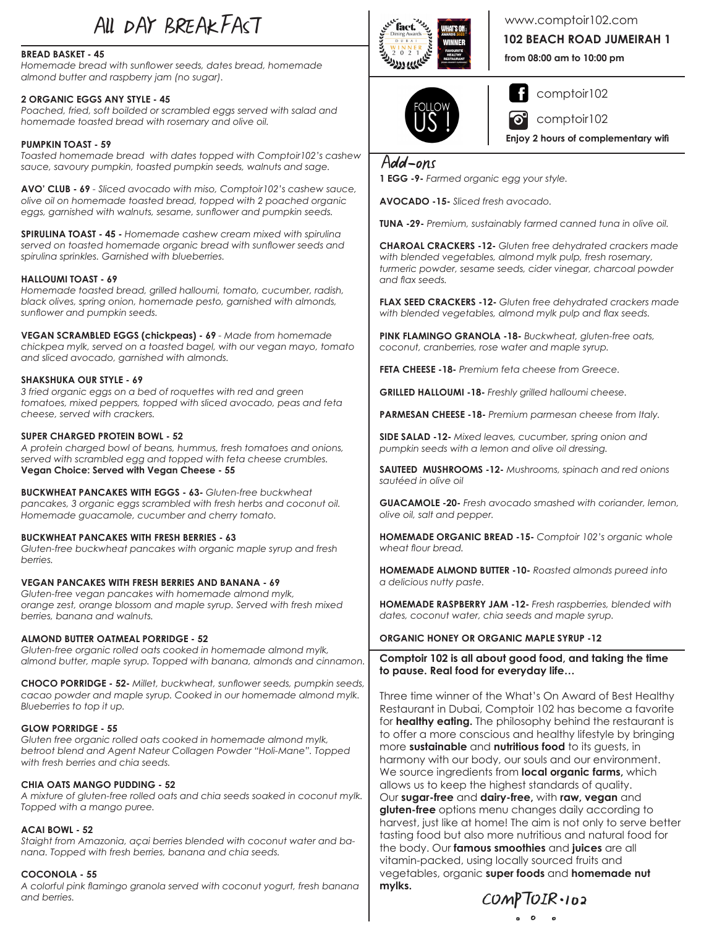## All DAY BREAKFAST

#### **BREAD BASKET - 45**

Homemade bread with sunflower seeds, dates bread, homemade *almond butter and raspberry jam (no sugar).*

#### **2 ORGANIC EGGS ANY STYLE - 45**

Poached, fried, soft boilded or scrambled eggs served with salad and homemade toasted bread with rosemary and olive oil.

### **PUMPKIN TOAST - 59**

*Toasted homemade bread with dates topped with Comptoir102's cashew*  sauce, savoury pumpkin, toasted pumpkin seeds, walnuts and sage.

AVO' CLUB - 69 - Sliced avocado with miso, Comptoir102's cashew sauce, olive oil on homemade toasted bread, topped with 2 poached organic eggs, garnished with walnuts, sesame, sunflower and pumpkin seeds.

**SPIRULINA TOAST - 45 -** *Homemade cashew cream mixed with spirulina*  served on toasted homemade organic bread with sunflower seeds and spirulina sprinkles. Garnished with blueberries.

#### **HALLOUMI TOAST - 69**

Homemade toasted bread, grilled halloumi, tomato, cucumber, radish, black olives, spring onion, homemade pesto, garnished with almonds, *sunflower and pumpkin seeds.* 

VEGAN SCRAMBLED EGGS (chickpeas) - 69 - Made from homemade chickpea mylk, served on a toasted bagel, with our vegan mayo, tomato and sliced avocado, garnished with almonds.

#### **SHAKSHUKA OUR STYLE - 69**

3 fried organic eggs on a bed of roquettes with red and green tomatoes, mixed peppers, topped with sliced avocado, peas and feta cheese, served with crackers.

#### **SUPER CHARGED PROTEIN BOWL - 52**

A protein charged bowl of beans, hummus, fresh tomatoes and onions, *served with scrambled egg and topped with feta cheese crumbles.* **Vegan Choice: Served with Vegan Cheese - 55**

**BUCKWHEAT PANCAKES WITH EGGS - 63- Gluten-free buckwheat** pancakes, 3 organic eggs scrambled with fresh herbs and coconut oil. Homemade guacamole, cucumber and cherry tomato.

#### **BUCKWHEAT PANCAKES WITH FRESH BERRIES - 63**

Gluten-free buckwheat pancakes with organic maple syrup and fresh *berries.*

**VEGAN PANCAKES WITH FRESH BERRIES AND BANANA - 69** Gluten-free vegan pancakes with homemade almond mylk, orange zest, orange blossom and maple syrup. Served with fresh mixed berries, banana and walnuts.

#### **ALMOND BUTTER OATMEAL PORRIDGE - 52**

Gluten-free organic rolled oats cooked in homemade almond mylk, almond butter, maple syrup. Topped with banana, almonds and cinnamon.

**CHOCO PORRIDGE - 52-** Millet, buckwheat, sunflower seeds, pumpkin seeds, cacao powder and maple syrup. Cooked in our homemade almond mylk. *Blueberries to top it up.*

#### **GLOW PORRIDGE - 55**

Gluten free organic rolled oats cooked in homemade almond mylk, *betroot blend and Agent Nateur Collagen Powder "Holi-Mane". Topped z* with fresh berries and chia seeds.

## **CHIA OATS MANGO PUDDING - 52**

A mixture of gluten-free rolled oats and chia seeds soaked in coconut mylk. *Topped with a mango puree.*

#### **ACAI BOWL - 52**

Staight from Amazonia, acai berries blended with coconut water and banana. Topped with fresh berries, banana and chia seeds.

#### **COCONOLA - 55**

A colorful pink flamingo granola served with coconut yogurt, fresh banana *and berries.*



www.comptoir102.com

**102 BEACH ROAD JUMEIRAH 1**

**from 08:00 am to 10:00 pm**



comptoir102

comptoir102 ၜႃ

**Enjoy 2 hours of complementary wifi** 

### Add-ons

**1 EGG -9-** *Farmed organic egg your style.*

**AVOCADO -15-** *Sliced fresh avocado.* 

TUNA -29- Premium, sustainably farmed canned tuna in olive oil.

**CHAROAL CRACKERS -12-** Gluten free dehydrated crackers made with blended vegetables, almond mylk pulp, fresh rosemary, turmeric powder, sesame seeds, cider vinegar, charcoal powder and flax seeds.

**FLAX SEED CRACKERS -12-** Gluten free dehydrated crackers made with blended vegetables, almond mylk pulp and flax seeds.

PINK FLAMINGO GRANOLA -18- Buckwheat, gluten-free oats, coconut, cranberries, rose water and maple syrup.

**FETA CHEESE -18-** Premium feta cheese from Greece.

**GRILLED HALLOUMI -18-** *Freshly grilled halloumi cheese.*

**PARMESAN CHEESE -18-** Premium parmesan cheese from Italy.

**SIDE SALAD -12-** Mixed leaves, cucumber, spring onion and pumpkin seeds with a lemon and olive oil dressing.

**SAUTEED MUSHROOMS -12- Mushrooms, spinach and red onions** sautéed in olive oil

**GUACAMOLE -20-** Fresh avocado smashed with coriander, lemon, *<i>Rolive* oil, salt and pepper.

**HOMEMADE ORGANIC BREAD -15-** *Comptoir 102's organic whole*  wheat flour bread

**HOMEMADE ALMOND BUTTER -10-** *Roasted almonds pureed into a delicious nutty paste.*

**HOMEMADE RASPBERRY JAM -12-** Fresh raspberries, blended with dates, coconut water, chia seeds and maple syrup.

#### **ORGANIC HONEY OR ORGANIC MAPLE SYRUP -12**

**Comptoir 102 is all about good food, and taking the time to pause. Real food for everyday life…**

Three time winner of the What's On Award of Best Healthy Restaurant in Dubai, Comptoir 102 has become a favorite for **healthy eating.** The philosophy behind the restaurant is to offer a more conscious and healthy lifestyle by bringing more **sustainable** and **nutritious food** to its guests, in harmony with our body, our souls and our environment. We source ingredients from **local organic farms,** which allows us to keep the highest standards of quality. Our **sugar-free** and **dairy-free,** with **raw, vegan** and **gluten-free** options menu changes daily according to harvest, just like at home! The aim is not only to serve better tasting food but also more nutritious and natural food for the body. Our **famous smoothies** and **juices** are all vitamin-packed, using locally sourced fruits and vegetables, organic **super foods** and **homemade nut mylks.**

 $COMPIOIR-102$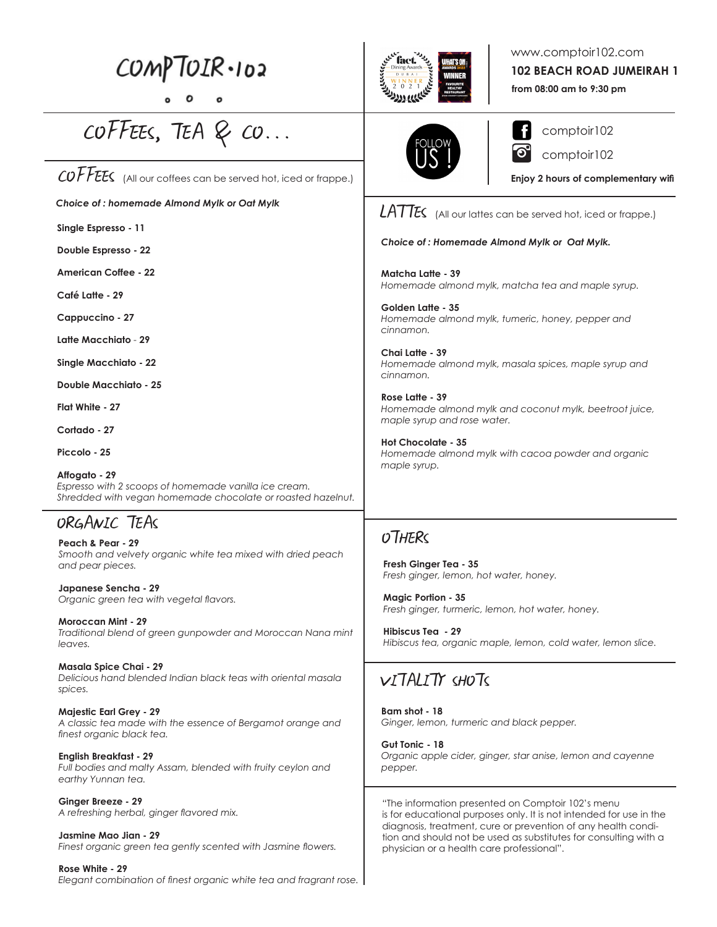# $COMPIOIR-102$

# COFFEES, TEA & CO...

COFFEES (All our coffees can be served hot, iced or frappe.)

*Choice of : homemade Almond Mylk or Oat Mylk*

**Single Espresso - 11**

**Double Espresso - 22**

**American Coffee - 22**

**Café Latte - 29**

**Cappuccino - 27**

**Latte Macchiato** *-* **29**

**Single Macchiato - 22**

**Double Macchiato - 25**

**Flat White - 27**

**Cortado - 27**

**Piccolo - 25** 

**Affogato - 29** *Espresso with 2 scoops of homemade vanilla ice cream. Shredded with vegan homemade chocolate or roasted hazelnut.*

## ORGANIC TEAS

**Peach & Pear - 29** *Smooth and velvety organic white tea mixed with dried peach and pear pieces.* 

**Japanese Sencha - 29** *<i>Drganic green tea with vegetal flavors.* 

**Moroccan Mint - 29** *Traditional blend of green gunpowder and Moroccan Nana mint leaves.* 

**Masala Spice Chai - 29** *Delicious hand blended Indian black teas with oriental masala spices.* 

**Majestic Earl Grey - 29** *A classic tea made with the essence of Bergamot orange and*  finest organic black tea.

**English Breakfast - 29** *Full bodies and malty Assam, blended with fruity ceylon and earthy Yunnan tea.* 

**Ginger Breeze - 29** A refreshing herbal, ginger flavored mix.

**Jasmine Mao Jian - 29** Finest organic green tea gently scented with Jasmine flowers.

**Rose White - 29** Elegant combination of finest organic white tea and fragrant rose.



## www.comptoir102.com

**102 BEACH ROAD JUMEIRAH 1**

**from 08:00 am to 9:30 pm**



comptoir102 comptoir102

**Enjoy 2 hours of complementary wifi** 

 $LAT\ll$  (All our lattes can be served hot, iced or frappe.)

#### *Choice of : Homemade Almond Mylk or Oat Mylk.*

**Matcha Latte - 39** *Homemade almond mylk, matcha tea and maple syrup.*

**Golden Latte - 35** *Homemade almond mylk, tumeric, honey, pepper and cinnamon.*

**Chai Latte - 39** *Homemade almond mylk, masala spices, maple syrup and cinnamon.*

**Rose Latte - 39** *Homemade almond mylk and coconut mylk, beetroot juice, maple syrup and rose water.*

**Hot Chocolate - 35** *Homemade almond mylk with cacoa powder and organic maple syrup.*

## **OTHERS**

**Fresh Ginger Tea - 35** *Fresh ginger, lemon, hot water, honey.*

**Magic Portion - 35** *Fresh ginger, turmeric, lemon, hot water, honey.* 

**Hibiscus Tea - 29** *Hibiscus tea, organic maple, lemon, cold water, lemon slice.*

## VITALITY SHOTS

**Bam shot - 18** *Ginger, lemon, turmeric and black pepper.*

**Gut Tonic - 18** *Organic apple cider, ginger, star anise, lemon and cayenne pepper.* 

"The information presented on Comptoir 102's menu is for educational purposes only. It is not intended for use in the diagnosis, treatment, cure or prevention of any health condition and should not be used as substitutes for consulting with a physician or a health care professional".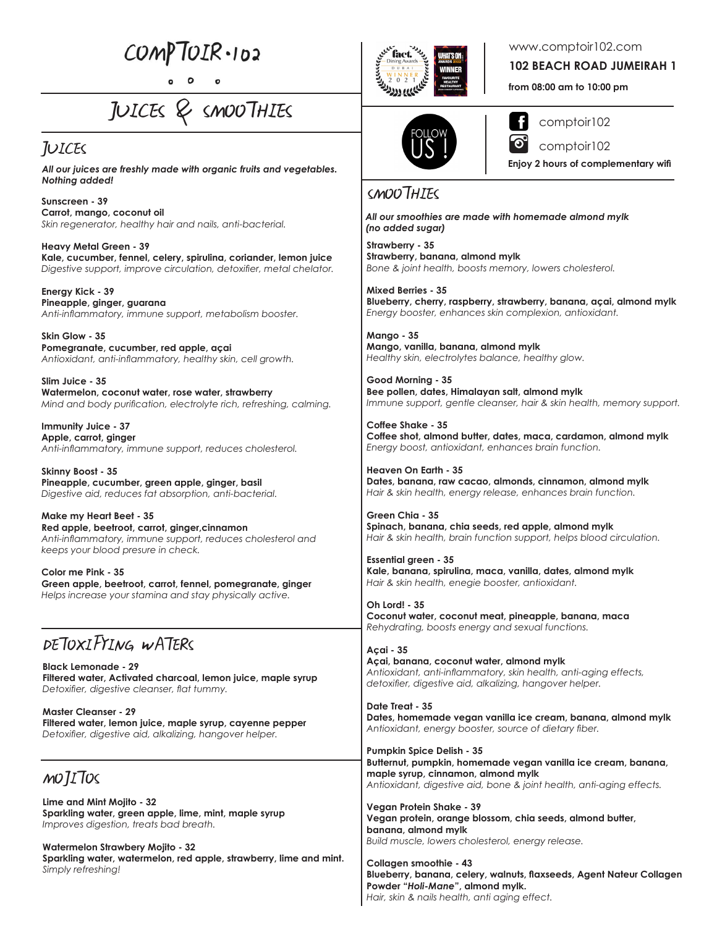$COMPIOIR-102$ 

JUICES & SMOOTHIES

## JUICES

*All our juices are freshly made with organic fruits and vegetables. Nothing added!*

Sunscreen - 39<br>Sunscreen - 39 **Carrot, mango, coconut oil** *Skin regenerator, healthy hair and nails, anti-bacterial.*

**Heavy Metal Green - 39 Kale, cucumber, fennel, celery, spirulina, coriander, lemon juice** Digestive support, improve circulation, detoxifier, metal chelator.

**Energy Kick - 39 Pineapple, ginger, guarana** Anti-inflammatory, immune support, metabolism booster.

**Skin Glow - 35 Pomegranate, cucumber, red apple, açai** Antioxidant, anti-inflammatory, healthy skin, cell growth.

**Slim Juice - 35 Watermelon, coconut water, rose water, strawberry** *Mind and body purification, electrolyte rich, refreshing, calming.* 

**Immunity Juice - 37 Apple, carrot, ginger** Anti-inflammatory, immune support, reduces cholesterol.

**Skinny Boost - 35 Pineapple, cucumber, green apple, ginger, basil** Digestive aid, reduces fat absorption, anti-bacterial.

**Make my Heart Beet - 35 Red apple, beetroot, carrot, ginger,cinnamon** Anti-inflammatory, immune support, reduces cholesterol and *keeps your blood presure in check.*

**Color me Pink - 35 Green apple, beetroot, carrot, fennel, pomegranate, ginger** *Helps increase your stamina and stay physically active.* 

## DETOXIFYING WATERS

**Black Lemonade - 29 Filtered water, Activated charcoal, lemon juice, maple syrup**  Detoxifier, digestive cleanser, flat tummy.

**Master Cleanser - 29 Filtered water, lemon juice, maple syrup, cayenne pepper** Detoxifier, digestive aid, alkalizing, hangover helper.

MOJITOS

**Lime and Mint Mojito - 32 Sparkling water, green apple, lime, mint, maple syrup** *Improves digestion, treats bad breath.* 

**Watermelon Strawbery Mojito - 32 Sparkling water, watermelon, red apple, strawberry, lime and mint.**  *Simply refreshing!*



www.comptoir102.com

**102 BEACH ROAD JUMEIRAH 1**

**from 08:00 am to 10:00 pm**



comptoir102

comptoir102

**Enjoy 2 hours of complementary wifi** 

*All our smoothies are made with homemade almond mylk (no added sugar)*

**Strawberry - 35 Strawberry, banana, almond mylk** *Bone & joint health, boosts memory, lowers cholesterol.*

**Mixed Berries - 35 Blueberry, cherry, raspberry, strawberry, banana, açai, almond mylk** *Energy booster, enhances skin complexion, antioxidant.*

**Mango - 35 Mango, vanilla, banana, almond mylk** *Healthy skin, electrolytes balance, healthy glow.*

**Good Morning - 35 Bee pollen, dates, Himalayan salt, almond mylk** *Immune support, gentle cleanser, hair & skin health, memory support.*

**Coffee Shake - 35 Coffee shot, almond butter, dates, maca, cardamon, almond mylk** *Energy boost, antioxidant, enhances brain function.*

**Heaven On Earth - 35 Dates, banana, raw cacao, almonds, cinnamon, almond mylk** *Hair & skin health, energy release, enhances brain function.*

**Green Chia - 35 Spinach, banana, chia seeds, red apple, almond mylk** *Hair & skin health, brain function support, helps blood circulation.*

**Essential green - 35 Kale, banana, spirulina, maca, vanilla, dates, almond mylk** *Hair & skin health, enegie booster, antioxidant.*

**Oh Lord! - 35 Coconut water, coconut meat, pineapple, banana, maca** *Rehydrating, boosts energy and sexual functions.*

**Açai - 35 Açai, banana, coconut water, almond mylk** Antioxidant, anti-inflammatory, skin health, anti-aging effects, detoxifier, digestive aid, alkalizing, hangover helper.

**Date Treat - 35 Dates, homemade vegan vanilla ice cream, banana, almond mylk** Antioxidant, energy booster, source of dietary fiber.

**Pumpkin Spice Delish - 35 Butternut, pumpkin, homemade vegan vanilla ice cream, banana, maple syrup, cinnamon, almond mylk** Antioxidant, digestive aid, bone & joint health, anti-aging effects.

**Vegan Protein Shake - 39 Vegan protein, orange blossom, chia seeds, almond butter, banana, almond mylk** *Build muscle, lowers cholesterol, energy release.*

**Collagen smoothie - 43** Blueberry, banana, celery, walnuts, flaxseeds, Agent Nateur Collagen **Powder "***Holi-Mane***", almond mylk.** *Hair, skin & nails health, anti aging effect.*